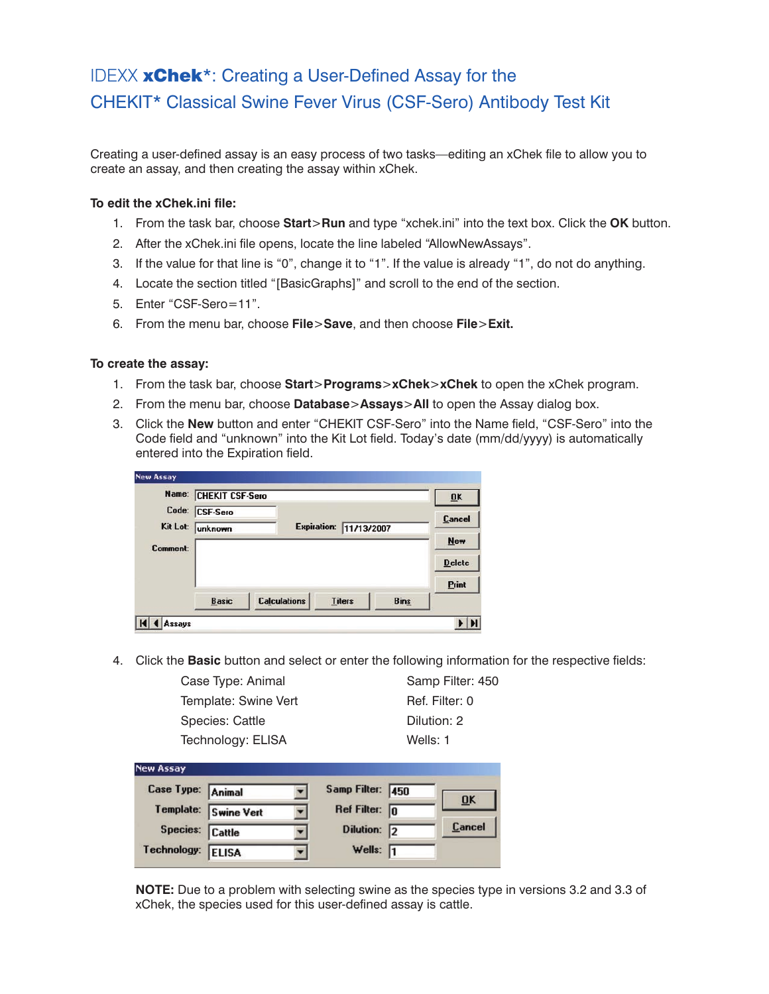# IDEXX **xChek**\*: Creating a User-Defined Assay for the CHEKIT\* Classical Swine Fever Virus (CSF-Sero) Antibody Test Kit

Creating a user-defined assay is an easy process of two tasks—editing an xChek file to allow you to create an assay, and then creating the assay within xChek.

## **To edit the xChek.ini file:**

- 1. From the task bar, choose **Start**>**Run** and type "xchek.ini" into the text box. Click the **OK** button.
- 2. After the xChek.ini file opens, locate the line labeled "AllowNewAssays".
- 3. If the value for that line is "0", change it to "1". If the value is already "1", do not do anything.
- 4. Locate the section titled "[BasicGraphs]" and scroll to the end of the section.
- 5. Enter "CSF-Sero=11".
- 6. From the menu bar, choose **File**>**Save**, and then choose **File**>**Exit.**

### **To create the assay:**

- 1. From the task bar, choose **Start**>**Programs**>**xChek**>**xChek** to open the xChek program.
- 2. From the menu bar, choose **Database**>**Assays**>**All** to open the Assay dialog box.
- 3. Click the **New** button and enter "CHEKIT CSF-Sero" into the Name field, "CSF-Sero" into the Code field and "unknown" into the Kit Lot field. Today's date (mm/dd/yyyy) is automatically entered into the Expiration field.

| Name:             | <b>CHEKIT CSF-Sero</b> |                     |                        |             | $\overline{\mathbf{U}}$ K |
|-------------------|------------------------|---------------------|------------------------|-------------|---------------------------|
| Code:<br>Kit Lot: | <b>CSF-Sero</b>        |                     | Expiration: 11/13/2007 |             | <b>Cancel</b>             |
| Comment:          | unknown                |                     |                        |             | <b>New</b>                |
|                   |                        |                     |                        |             | <b>Delete</b>             |
|                   |                        |                     |                        |             | Print                     |
|                   | <b>Basic</b>           | <b>Calculations</b> | <b>Titers</b>          | <b>Bins</b> |                           |

4. Click the **Basic** button and select or enter the following information for the respective fields:

Case Type: Animal Samp Filter: 450 Template: Swine Vert Ref. Filter: 0 Species: Cattle **Dilution: 2** Technology: ELISA Wells: 1

| <b>New Assay</b>  |                   |                         |                           |
|-------------------|-------------------|-------------------------|---------------------------|
| Case Type: Animal |                   | Samp Filter: 450        | $\overline{\mathbf{0}}$ K |
| Template:         | <b>Swine Vert</b> | Ref Filter: $\boxed{0}$ |                           |
| Species: Cattle   |                   | Dilution: 2             | Cancel                    |
| Technology:       | <b>ELISA</b>      | Wells: $\sqrt{1}$       |                           |

**NOTE:** Due to a problem with selecting swine as the species type in versions 3.2 and 3.3 of xChek, the species used for this user-defined assay is cattle.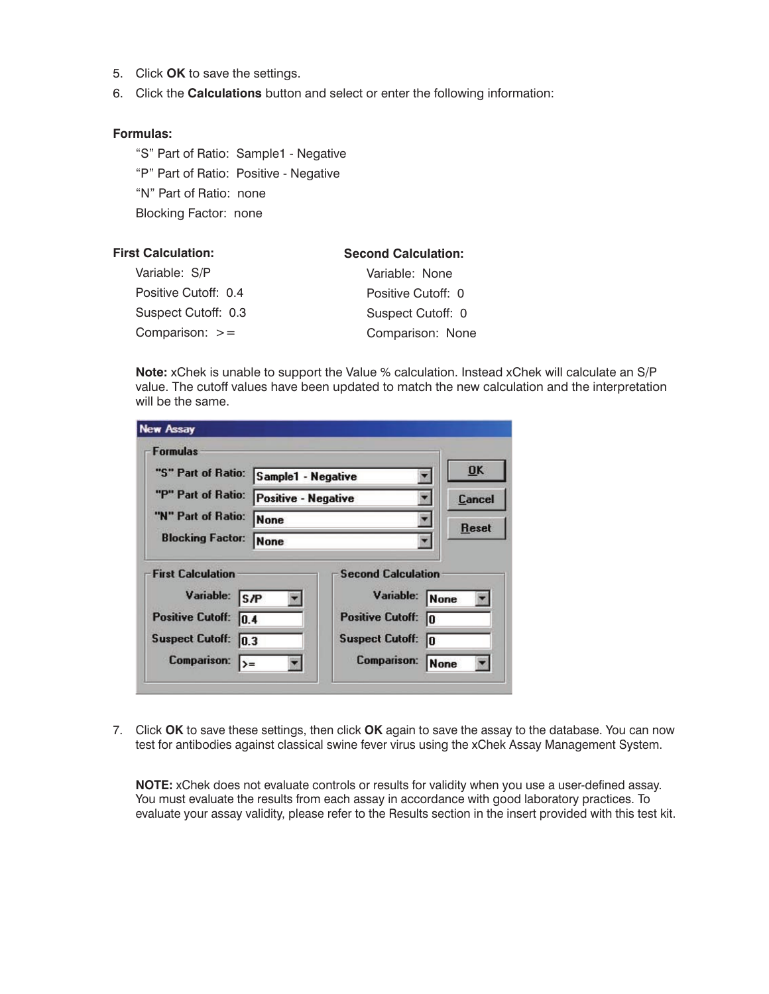- 5. Click **OK** to save the settings.
- 6. Click the **Calculations** button and select or enter the following information:

#### **Formulas:**

"S" Part of Ratio: Sample1 - Negative "P" Part of Ratio: Positive - Negative "N" Part of Ratio: none Blocking Factor: none

| <b>First Calculation:</b> | <b>Second Calculation:</b> |
|---------------------------|----------------------------|
| Variable: S/P             | Variable: None             |
| Positive Cutoff: 0.4      | Positive Cutoff: 0         |
| Suspect Cutoff: 0.3       | Suspect Cutoff: 0          |
| Comparison: $>=$          | Comparison: None           |

**Note:** xChek is unable to support the Value % calculation. Instead xChek will calculate an S/P value. The cutoff values have been updated to match the new calculation and the interpretation will be the same.

| <b>Formulas</b>                                                                                                                 |                                                  |                                                                                                            |                          |
|---------------------------------------------------------------------------------------------------------------------------------|--------------------------------------------------|------------------------------------------------------------------------------------------------------------|--------------------------|
| "S" Part of Ratio:                                                                                                              | Sample1 - Negative<br><b>Positive - Negative</b> |                                                                                                            | OK                       |
| "P" Part of Ratio:                                                                                                              |                                                  |                                                                                                            | <b>Cancel</b>            |
| "N" Part of Ratio:                                                                                                              | None<br>None                                     |                                                                                                            | <b>Reset</b>             |
| <b>Blocking Factor:</b>                                                                                                         |                                                  |                                                                                                            |                          |
| <b>First Calculation</b><br>Variable: S/P<br>Positive Cutoff: 0.4<br>Suspect Cutoff: 0.3<br><b>Comparison:</b><br>$\rightarrow$ |                                                  | <b>Second Calculation</b><br>Variable:<br><b>Positive Cutoff:</b><br><b>Suspect Cutoff:</b><br>Comparison: | None<br>In<br>lo<br>None |

7. Click **OK** to save these settings, then click **OK** again to save the assay to the database. You can now test for antibodies against classical swine fever virus using the xChek Assay Management System.

**NOTE:** xChek does not evaluate controls or results for validity when you use a user-defined assay. You must evaluate the results from each assay in accordance with good laboratory practices. To evaluate your assay validity, please refer to the Results section in the insert provided with this test kit.